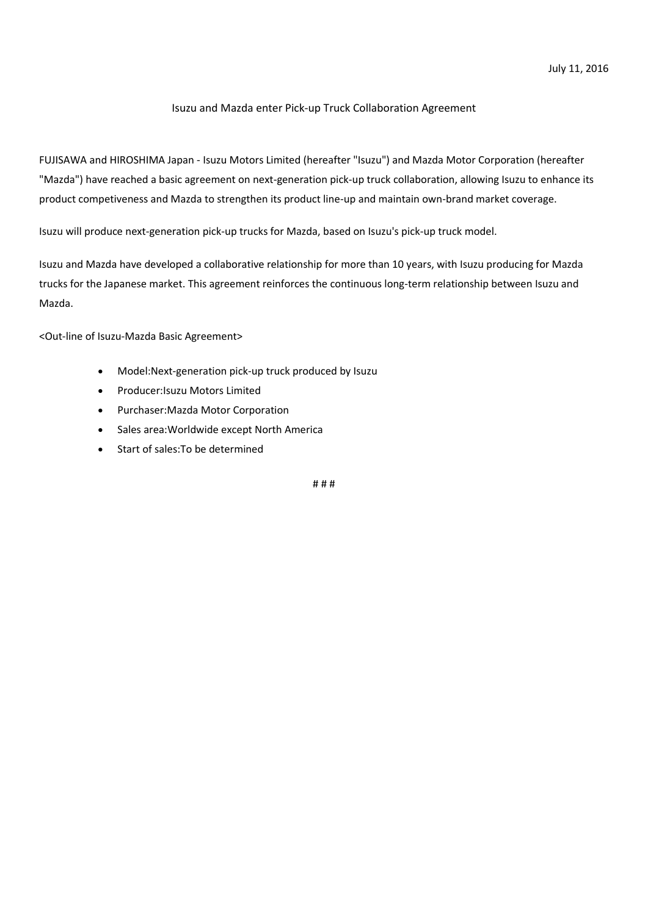## Isuzu and Mazda enter Pick-up Truck Collaboration Agreement

FUJISAWA and HIROSHIMA Japan - Isuzu Motors Limited (hereafter "Isuzu") and Mazda Motor Corporation (hereafter "Mazda") have reached a basic agreement on next-generation pick-up truck collaboration, allowing Isuzu to enhance its product competiveness and Mazda to strengthen its product line-up and maintain own-brand market coverage.

Isuzu will produce next-generation pick-up trucks for Mazda, based on Isuzu's pick-up truck model.

Isuzu and Mazda have developed a collaborative relationship for more than 10 years, with Isuzu producing for Mazda trucks for the Japanese market. This agreement reinforces the continuous long-term relationship between Isuzu and Mazda.

<Out-line of Isuzu-Mazda Basic Agreement>

- Model:Next-generation pick-up truck produced by Isuzu
- Producer:Isuzu Motors Limited
- Purchaser:Mazda Motor Corporation
- Sales area:Worldwide except North America
- Start of sales:To be determined

# # #